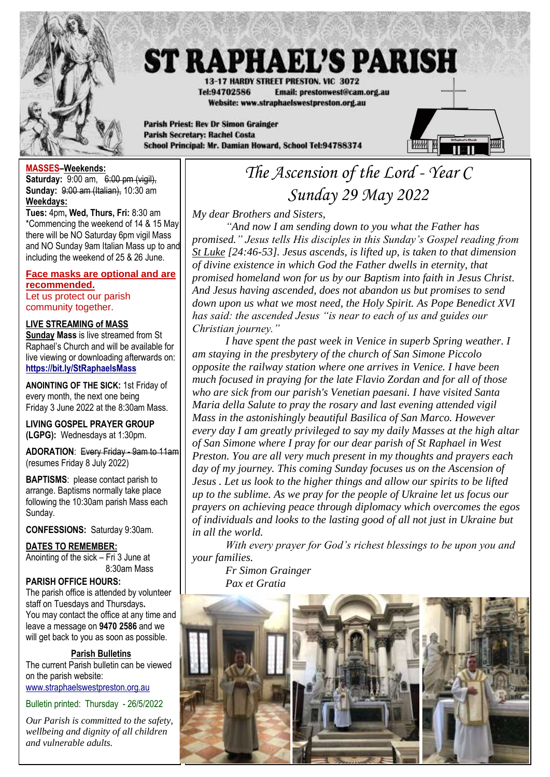

# **ST RAPHAEL'S PARISH**

13-17 HARDY STREET PRESTON, VIC 3072 Tel:94702586 Email: prestonwest@cam.org.au Website: www.straphaelswestpreston.org.au

**Parish Priest: Rev Dr Simon Grainger Parish Secretary: Rachel Costa** School Principal: Mr. Damian Howard, School Tel:94788374



# **MASSES–Weekends:**

**Saturday:** 9:00 am, 6:00 pm (vigil), **Sunday:** 9:00 am (Italian), 10:30 am **Weekdays:** 

**Tues:** 4pm**, Wed, Thurs, Fri:** 8:30 am \*Commencing the weekend of 14 & 15 May there will be NO Saturday 6pm vigil Mass and NO Sunday 9am Italian Mass up to and including the weekend of 25 & 26 June.

# **Face masks are optional and are recommended.**

Let us protect our parish community together.

# **LIVE STREAMING of MASS**

**Sunday Mass** is live streamed from St Raphael's Church and will be available for live viewing or downloading afterwards on: **<https://bit.ly/StRaphaelsMass>**

**ANOINTING OF THE SICK:** 1st Friday of every month, the next one being Friday 3 June 2022 at the 8:30am Mass.

**LIVING GOSPEL PRAYER GROUP (LGPG):** Wednesdays at 1:30pm.

**ADORATION**: Every Friday - 9am to 11am (resumes Friday 8 July 2022)

**BAPTISMS**: please contact parish to arrange. Baptisms normally take place following the 10:30am parish Mass each Sunday.

**CONFESSIONS:** Saturday 9:30am.

# **DATES TO REMEMBER:**

Anointing of the sick – Fri 3 June at 8:30am Mass

### **PARISH OFFICE HOURS:**

The parish office is attended by volunteer staff on Tuesdays and Thursdays**.** You may contact the office at any time and leave a message on **9470 2586** and we will get back to you as soon as possible.

### **Parish Bulletins**

The current Parish bulletin can be viewed on the parish website: [www.straphaelswestpreston.org.au](file:///D:/Google%20Drive/ST%20RAPHAEL)

Bulletin printed: Thursday - 26/5/2022

*Our Parish is committed to the safety, wellbeing and dignity of all children and vulnerable adults.*

# *The Ascension of the Lord - Year C Sunday 29 May 2022*

*My dear Brothers and Sisters,*

*"And now I am sending down to you what the Father has promised." Jesus tells His disciples in this Sunday's Gospel reading from St Luke [24:46-53]. Jesus ascends, is lifted up, is taken to that dimension of divine existence in which God the Father dwells in eternity, that promised homeland won for us by our Baptism into faith in Jesus Christ. And Jesus having ascended, does not abandon us but promises to send down upon us what we most need, the Holy Spirit. As Pope Benedict XVI has said: the ascended Jesus "is near to each of us and guides our Christian journey."*

*I have spent the past week in Venice in superb Spring weather. I am staying in the presbytery of the church of San Simone Piccolo opposite the railway station where one arrives in Venice. I have been much focused in praying for the late Flavio Zordan and for all of those who are sick from our parish's Venetian paesani. I have visited Santa Maria della Salute to pray the rosary and last evening attended vigil Mass in the astonishingly beautiful Basilica of San Marco. However every day I am greatly privileged to say my daily Masses at the high altar of San Simone where I pray for our dear parish of St Raphael in West Preston. You are all very much present in my thoughts and prayers each day of my journey. This coming Sunday focuses us on the Ascension of Jesus . Let us look to the higher things and allow our spirits to be lifted up to the sublime. As we pray for the people of Ukraine let us focus our prayers on achieving peace through diplomacy which overcomes the egos of individuals and looks to the lasting good of all not just in Ukraine but in all the world.*

*With every prayer for God's richest blessings to be upon you and your families.*

*Fr Simon Grainger Pax et Gratia*

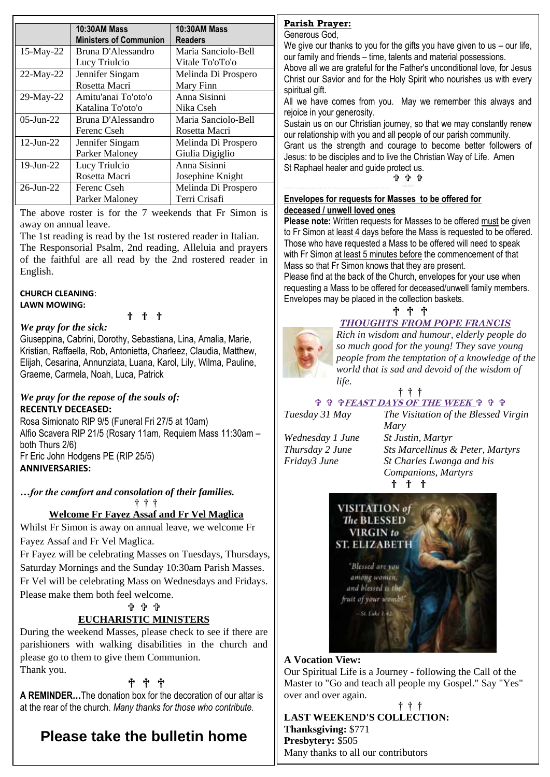|                 | <b>10:30AM Mass</b>           | <b>10:30AM Mass</b> |
|-----------------|-------------------------------|---------------------|
|                 | <b>Ministers of Communion</b> | <b>Readers</b>      |
| 15-May-22       | Bruna D'Alessandro            | Maria Sanciolo-Bell |
|                 | Lucy Triulcio                 | Vitale To'oTo'o     |
| $22$ -May-22    | Jennifer Singam               | Melinda Di Prospero |
|                 | Rosetta Macri                 | Mary Finn           |
| 29-May-22       | Amitu'anai To'oto'o           | Anna Sisinni        |
|                 | Katalina To'oto'o             | Nika Cseh           |
| $05$ -Jun-22    | Bruna D'Alessandro            | Maria Sanciolo-Bell |
|                 | Ferenc Cseh                   | Rosetta Macri       |
| $12$ -Jun-22    | Jennifer Singam               | Melinda Di Prospero |
|                 | <b>Parker Maloney</b>         | Giulia Digiglio     |
| 19-Jun-22       | Lucy Triulcio                 | Anna Sisinni        |
|                 | Rosetta Macri                 | Josephine Knight    |
| $26$ -Jun- $22$ | Ferenc Cseh                   | Melinda Di Prospero |
|                 | Parker Maloney                | Terri Crisafi       |

The above roster is for the 7 weekends that Fr Simon is away on annual leave.

The 1st reading is read by the 1st rostered reader in Italian. The Responsorial Psalm, 2nd reading, Alleluia and prayers of the faithful are all read by the 2nd rostered reader in English.

#### **CHURCH CLEANING**: **LAWN MOWING:**

† † †

# *We pray for the sick:*

Giuseppina, Cabrini, Dorothy, Sebastiana, Lina, Amalia, Marie, Kristian, Raffaella, Rob, Antonietta, Charleez, Claudia, Matthew, Elijah, Cesarina, Annunziata, Luana, Karol, Lily, Wilma, Pauline, Graeme, Carmela, Noah, Luca, Patrick

# *We pray for the repose of the souls of:*  **RECENTLY DECEASED:**

Rosa Simionato RIP 9/5 (Funeral Fri 27/5 at 10am) Alfio Scavera RIP 21/5 (Rosary 11am, Requiem Mass 11:30am – both Thurs 2/6) Fr Eric John Hodgens PE (RIP 25/5) **ANNIVERSARIES:**

*…for the comfort and consolation of their families.* † † †

### **Welcome Fr Fayez Assaf and Fr Vel Maglica**

Whilst Fr Simon is away on annual leave, we welcome Fr Fayez Assaf and Fr Vel Maglica.

Fr Fayez will be celebrating Masses on Tuesdays, Thursdays, Saturday Mornings and the Sunday 10:30am Parish Masses. Fr Vel will be celebrating Mass on Wednesdays and Fridays. Please make them both feel welcome.

# ቱ ቱ ቱ

# **EUCHARISTIC MINISTERS**

During the weekend Masses, please check to see if there are parishioners with walking disabilities in the church and please go to them to give them Communion. Thank you.

# † † †

**A REMINDER…**The donation box for the decoration of our altar is at the rear of the church. *Many thanks for those who contribute.*

# **Please take the bulletin home**

# **Parish Prayer:**

Generous God,

We give our thanks to you for the gifts you have given to us – our life, our family and friends – time, talents and material possessions.

Above all we are grateful for the Father's unconditional love, for Jesus Christ our Savior and for the Holy Spirit who nourishes us with every spiritual gift.

All we have comes from you. May we remember this always and rejoice in your generosity.

Sustain us on our Christian journey, so that we may constantly renew our relationship with you and all people of our parish community. Grant us the strength and courage to become better followers of Jesus: to be disciples and to live the Christian Way of Life. Amen St Raphael healer and guide protect us.

ቁ ቁ ቁ

# **Envelopes for requests for Masses to be offered for deceased / unwell loved ones**

**Please note:** Written requests for Masses to be offered must be given to Fr Simon at least 4 days before the Mass is requested to be offered. Those who have requested a Mass to be offered will need to speak with Fr Simon at least 5 minutes before the commencement of that Mass so that Fr Simon knows that they are present.

Please find at the back of the Church, envelopes for your use when requesting a Mass to be offered for deceased/unwell family members. Envelopes may be placed in the collection baskets. † † †

*THOUGHTS FROM POPE FRANCIS Rich in wisdom and humour, elderly people do so much good for the young! They save young people from the temptation of a knowledge of the world that is sad and devoid of the wisdom of life.* 

† † †

 **FEAST DAYS OF THE WEEK**

*Tuesday 31 May The Visitation of the Blessed Virgin* 

*Wednesday 1 June St Justin, Martyr*

*Mary Thursday 2 June Sts Marcellinus & Peter, Martyrs Friday3 June St Charles Lwanga and his Companions, Martyrs* † † †



# **A Vocation View:**

Our Spiritual Life is a Journey - following the Call of the Master to "Go and teach all people my Gospel." Say "Yes" over and over again.

#### † † † **LAST WEEKEND'S COLLECTION: Thanksgiving:** \$771 **Presbytery:** \$505 Many thanks to all our contributors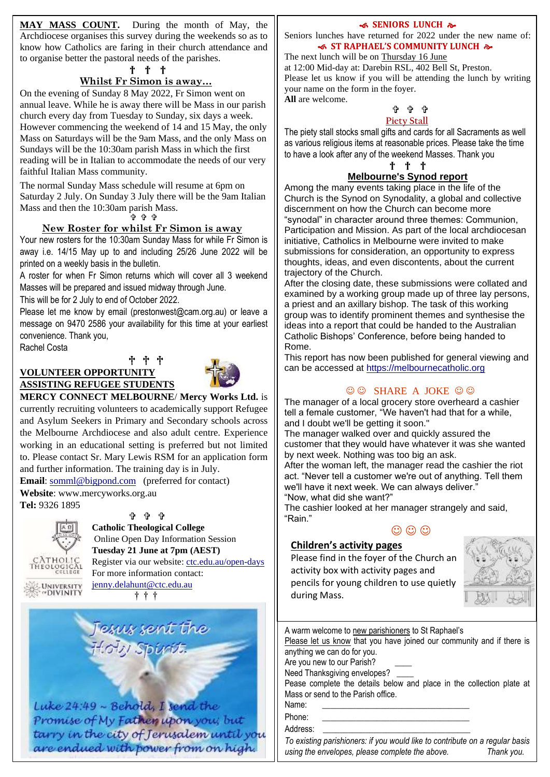**MAY MASS COUNT.** During the month of May, the Archdiocese organises this survey during the weekends so as to know how Catholics are faring in their church attendance and to organise better the pastoral needs of the parishes.

#### † † †

# **Whilst Fr Simon is away…**

On the evening of Sunday 8 May 2022, Fr Simon went on annual leave. While he is away there will be Mass in our parish church every day from Tuesday to Sunday, six days a week. However commencing the weekend of 14 and 15 May, the only Mass on Saturdays will be the 9am Mass, and the only Mass on Sundays will be the 10:30am parish Mass in which the first reading will be in Italian to accommodate the needs of our very faithful Italian Mass community.

The normal Sunday Mass schedule will resume at 6pm on Saturday 2 July. On Sunday 3 July there will be the 9am Italian Mass and then the 10:30am parish Mass.

ቅቀቀ

#### **New Roster for whilst Fr Simon is away**

Your new rosters for the 10:30am Sunday Mass for while Fr Simon is away i.e. 14/15 May up to and including 25/26 June 2022 will be printed on a weekly basis in the bulletin.

A roster for when Fr Simon returns which will cover all 3 weekend Masses will be prepared and issued midway through June.

This will be for 2 July to end of October 2022.

Please let me know by email (prestonwest@cam.org.au) or leave a message on 9470 2586 your availability for this time at your earliest convenience. Thank you,

Rachel Costa

# † † † **VOLUNTEER OPPORTUNITY ASSISTING REFUGEE STUDENTS**



**MERCY CONNECT MELBOURNE**/ **Mercy Works Ltd.** is currently recruiting volunteers to academically support Refugee and Asylum Seekers in Primary and Secondary schools across the Melbourne Archdiocese and also adult centre. Experience working in an educational setting is preferred but not limited to. Please contact Sr. Mary Lewis RSM for an application form and further information. The training day is in July.

**Email**: [somml@bigpond.com](mailto:somml@bigpond.com) (preferred for contact) **Website**: www.mercyworks.org.au

**Tel:** 9326 1895



ቁ ቁ ቁ **Catholic Theological College** Online Open Day Information Session **Tuesday 21 June at 7pm (AEST)** Register via our website: [ctc.edu.au/open-days](https://ctc.edu.au/open-days/) For more information contact: [jenny.delahunt@ctc.edu.au](mailto:jenny.delahunt@ctc.edu.au)

† † †



Luke 24:49 ~ Behold, I send the Promise of My Fathen upon you; but tarry in the city of Jerusalem until you are endued with power from on high.

#### **SENIORS LUNCH &**

Seniors lunches have returned for 2022 under the new name of:  **ST RAPHAEL'S COMMUNITY LUNCH** 

The next lunch will be on Thursday 16 June at 12:00 Mid-day at: Darebin RSL, 402 Bell St, Preston. Please let us know if you will be attending the lunch by writing your name on the form in the foyer. **All** are welcome.

### ቱ ቱ ቱ **Piety Stall**

The piety stall stocks small gifts and cards for all Sacraments as well as various religious items at reasonable prices. Please take the time to have a look after any of the weekend Masses. Thank you

#### † † † **Melbourne's Synod report**

Among the many events taking place in the life of the Church is the Synod on Synodality, a global and collective discernment on how the Church can become more "synodal" in character around three themes: Communion, Participation and Mission. As part of the local archdiocesan initiative, Catholics in Melbourne were invited to make submissions for consideration, an opportunity to express thoughts, ideas, and even discontents, about the current trajectory of the Church.

After the closing date, these submissions were collated and examined by a working group made up of three lay persons, a priest and an axillary bishop. The task of this working group was to identify prominent themes and synthesise the ideas into a report that could be handed to the Australian Catholic Bishops' Conference, before being handed to Rome.

This report has now been published for general viewing and can be accessed at [https://melbournecatholic.org](https://melbournecatholic.org/)

# $\odot$   $\odot$  SHARE A JOKE  $\odot$   $\odot$

The manager of a local grocery store overheard a cashier tell a female customer, "We haven't had that for a while, and I doubt we'll be getting it soon."

The manager walked over and quickly assured the customer that they would have whatever it was she wanted by next week. Nothing was too big an ask.

After the woman left, the manager read the cashier the riot act. "Never tell a customer we're out of anything. Tell them we'll have it next week. We can always deliver.' "Now, what did she want?"

The cashier looked at her manager strangely and said, "Rain."

# $\odot$   $\odot$   $\odot$

### **Children's activity pages**

Please find in the foyer of the Church an activity box with activity pages and pencils for young children to use quietly during Mass.



*To existing parishioners: if you would like to contribute on a regular basis using the envelopes, please complete the above. Thank you.*